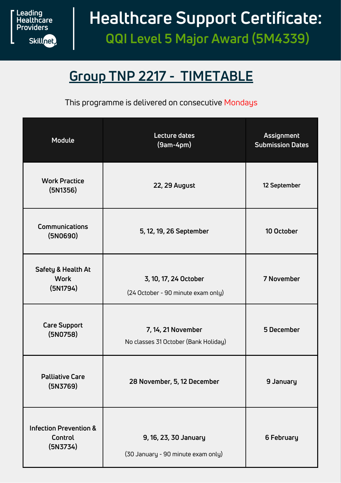

# **Healthcare Support Certificate:**

**QQI Level 5 Major Award (5M4339)**

### **Group TNP 2217 - TIMETABLE**

This programme is delivered on consecutive Mondays

| <b>Module</b>                                            | Lecture dates<br>$(9am-4pm)$                                | Assignment<br><b>Submission Dates</b> |
|----------------------------------------------------------|-------------------------------------------------------------|---------------------------------------|
| <b>Work Practice</b><br>(5N1356)                         | <b>22, 29 August</b>                                        | 12 September                          |
| Communications<br>(5N0690)                               | 5, 12, 19, 26 September                                     | 10 October                            |
| Safety & Health At<br><b>Work</b><br>(5N1794)            | 3, 10, 17, 24 October<br>(24 October - 90 minute exam only) | 7 November                            |
| <b>Care Support</b><br>(5N0758)                          | 7, 14, 21 November<br>No classes 31 October (Bank Holiday)  | 5 December                            |
| <b>Palliative Care</b><br>(5N3769)                       | 28 November, 5, 12 December                                 | 9 January                             |
| <b>Infection Prevention &amp;</b><br>Control<br>(DN3734) | 9, 16, 23, 30 January<br>(30 January - 90 minute exam only) | 6 February                            |